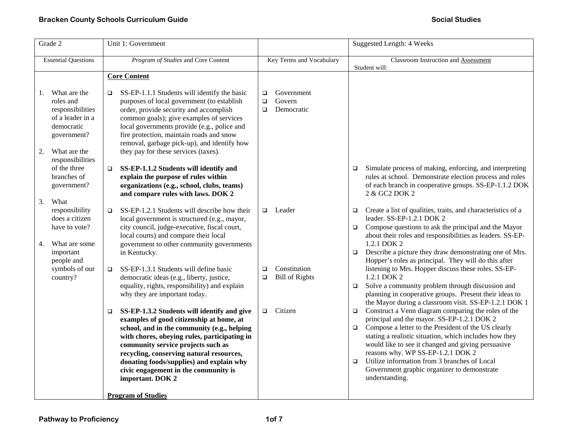| Grade 2                                                                                                                                                                                      | Unit 1: Government                                                                                                                                                                                                                                                                                                                                                                                                                                                                                                    |                                                                               | <b>Suggested Length: 4 Weeks</b>                                                                                                                                                                                                                                                                                                                                                                                                                                                                                                                                                                                                                       |
|----------------------------------------------------------------------------------------------------------------------------------------------------------------------------------------------|-----------------------------------------------------------------------------------------------------------------------------------------------------------------------------------------------------------------------------------------------------------------------------------------------------------------------------------------------------------------------------------------------------------------------------------------------------------------------------------------------------------------------|-------------------------------------------------------------------------------|--------------------------------------------------------------------------------------------------------------------------------------------------------------------------------------------------------------------------------------------------------------------------------------------------------------------------------------------------------------------------------------------------------------------------------------------------------------------------------------------------------------------------------------------------------------------------------------------------------------------------------------------------------|
| <b>Essential Questions</b>                                                                                                                                                                   | Program of Studies and Core Content                                                                                                                                                                                                                                                                                                                                                                                                                                                                                   | Key Terms and Vocabulary                                                      | Classroom Instruction and Assessment<br>Student will:                                                                                                                                                                                                                                                                                                                                                                                                                                                                                                                                                                                                  |
|                                                                                                                                                                                              | <b>Core Content</b>                                                                                                                                                                                                                                                                                                                                                                                                                                                                                                   |                                                                               |                                                                                                                                                                                                                                                                                                                                                                                                                                                                                                                                                                                                                                                        |
| What are the<br>1.<br>roles and<br>responsibilities<br>of a leader in a<br>democratic<br>government?<br>2.<br>What are the<br>responsibilities<br>of the three<br>branches of<br>government? | SS-EP-1.1.1 Students will identify the basic<br>$\Box$<br>purposes of local government (to establish<br>order, provide security and accomplish<br>common goals); give examples of services<br>local governments provide (e.g., police and<br>fire protection, maintain roads and snow<br>removal, garbage pick-up), and identify how<br>they pay for these services (taxes).<br>SS-EP-1.1.2 Students will identify and<br>$\Box$<br>explain the purpose of rules within<br>organizations (e.g., school, clubs, teams) | Government<br>$\Box$<br>Govern<br>$\Box$<br>Democratic<br>$\Box$              | Simulate process of making, enforcing, and interpreting<br>$\Box$<br>rules at school. Demonstrate election process and roles<br>of each branch in cooperative groups. SS-EP-1.1.2 DOK                                                                                                                                                                                                                                                                                                                                                                                                                                                                  |
| 3.<br>What<br>responsibility<br>does a citizen<br>have to vote?<br>4.<br>What are some<br>important<br>people and<br>symbols of our<br>country?                                              | and compare rules with laws. DOK 2<br>SS-EP-1.2.1 Students will describe how their<br>$\Box$<br>local government is structured (e.g., mayor,<br>city council, judge-executive, fiscal court,<br>local courts) and compare their local<br>government to other community governments<br>in Kentucky.<br>SS-EP-1.3.1 Students will define basic<br>$\Box$<br>democratic ideas (e.g., liberty, justice,<br>equality, rights, responsibility) and explain<br>why they are important today.                                 | Leader<br>$\Box$<br>Constitution<br>$\Box$<br><b>Bill of Rights</b><br>$\Box$ | 2 & GC2 DOK 2<br>Create a list of qualities, traits, and characteristics of a<br>$\Box$<br>leader. SS-EP-1.2.1 DOK 2<br>Compose questions to ask the principal and the Mayor<br>$\Box$<br>about their roles and responsibilities as leaders. SS-EP-<br>1.2.1 DOK 2<br>Describe a picture they draw demonstrating one of Mrs.<br>$\Box$<br>Hopper's roles as principal. They will do this after<br>listening to Mrs. Hopper discuss these roles. SS-EP-<br>1.2.1 DOK 2<br>Solve a community problem through discussion and<br>$\Box$<br>planning in cooperative groups. Present their ideas to<br>the Mayor during a classroom visit. SS-EP-1.2.1 DOK 1 |
|                                                                                                                                                                                              | SS-EP-1.3.2 Students will identify and give<br>$\Box$<br>examples of good citizenship at home, at<br>school, and in the community (e.g., helping<br>with chores, obeying rules, participating in<br>community service projects such as<br>recycling, conserving natural resources,<br>donating foods/supplies) and explain why<br>civic engagement in the community is<br>important. DOK 2<br><b>Program of Studies</b>                                                                                               | Citizen<br>$\Box$                                                             | Construct a Venn diagram comparing the roles of the<br>$\Box$<br>principal and the mayor. SS-EP-1.2.1 DOK 2<br>Compose a letter to the President of the US clearly<br>$\Box$<br>stating a realistic situation, which includes how they<br>would like to see it changed and giving persuasive<br>reasons why. WP SS-EP-1.2.1 DOK 2<br>Utilize information from 3 branches of Local<br>$\Box$<br>Government graphic organizer to demonstrate<br>understanding.                                                                                                                                                                                           |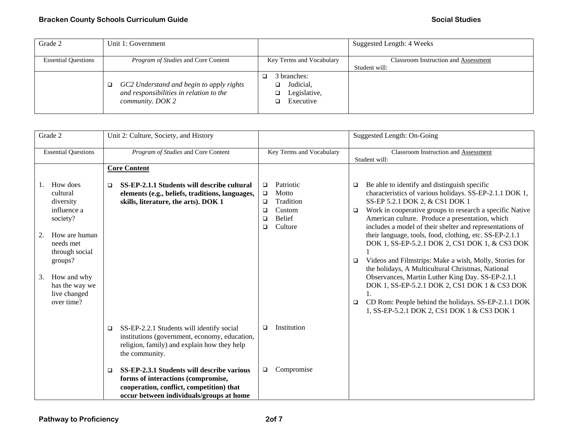## **Bracken County Schools Curriculum Guide**  Social Studies **Social Studies Social Studies Social Studies**

| Grade 2                    | Unit 1: Government                                                                                      |                                                       | Suggested Length: 4 Weeks                                    |
|----------------------------|---------------------------------------------------------------------------------------------------------|-------------------------------------------------------|--------------------------------------------------------------|
| <b>Essential Questions</b> | <i>Program of Studies</i> and Core Content                                                              | Key Terms and Vocabulary                              | <b>Classroom Instruction and Assessment</b><br>Student will: |
|                            | GC2 Understand and begin to apply rights<br>and responsibilities in relation to the<br>community. DOK 2 | 3 branches:<br>Judicial,<br>Legislative,<br>Executive |                                                              |

| Grade 2                                                                                                                                                                                            | Unit 2: Culture, Society, and History                                                                                                                                         |                                                                                                                         | Suggested Length: On-Going                                                                                                                                                                                                                                                                                                                                                                                                                                                                                                                                                                                                                                                                                                                                                                          |
|----------------------------------------------------------------------------------------------------------------------------------------------------------------------------------------------------|-------------------------------------------------------------------------------------------------------------------------------------------------------------------------------|-------------------------------------------------------------------------------------------------------------------------|-----------------------------------------------------------------------------------------------------------------------------------------------------------------------------------------------------------------------------------------------------------------------------------------------------------------------------------------------------------------------------------------------------------------------------------------------------------------------------------------------------------------------------------------------------------------------------------------------------------------------------------------------------------------------------------------------------------------------------------------------------------------------------------------------------|
| <b>Essential Questions</b>                                                                                                                                                                         | Program of Studies and Core Content                                                                                                                                           | Key Terms and Vocabulary                                                                                                | Classroom Instruction and Assessment<br>Student will:                                                                                                                                                                                                                                                                                                                                                                                                                                                                                                                                                                                                                                                                                                                                               |
|                                                                                                                                                                                                    | <b>Core Content</b>                                                                                                                                                           |                                                                                                                         |                                                                                                                                                                                                                                                                                                                                                                                                                                                                                                                                                                                                                                                                                                                                                                                                     |
| How does<br>cultural<br>diversity<br>influence a<br>society?<br>How are human<br>2.<br>needs met<br>through social<br>groups?<br>How and why<br>3.<br>has the way we<br>live changed<br>over time? | SS-EP-2.1.1 Students will describe cultural<br>▫<br>elements (e.g., beliefs, traditions, languages,<br>skills, literature, the arts). DOK 1                                   | Patriotic<br>$\Box$<br>Motto<br>$\Box$<br>Tradition<br>$\Box$<br>Custom<br>□<br><b>Belief</b><br>□<br>Culture<br>$\Box$ | Be able to identify and distinguish specific<br>$\Box$<br>characteristics of various holidays. SS-EP-2.1.1 DOK 1,<br>SS-EP 5.2.1 DOK 2, & CS1 DOK 1<br>Work in cooperative groups to research a specific Native<br>$\Box$<br>American culture. Produce a presentation, which<br>includes a model of their shelter and representations of<br>their language, tools, food, clothing, etc. SS-EP-2.1.1<br>DOK 1, SS-EP-5.2.1 DOK 2, CS1 DOK 1, & CS3 DOK<br>Videos and Filmstrips: Make a wish, Molly, Stories for<br>$\Box$<br>the holidays, A Multicultural Christmas, National<br>Observances, Martin Luther King Day. SS-EP-2.1.1<br>DOK 1, SS-EP-5.2.1 DOK 2, CS1 DOK 1 & CS3 DOK<br>CD Rom: People behind the holidays. SS-EP-2.1.1 DOK<br>$\Box$<br>1, SS-EP-5.2.1 DOK 2, CS1 DOK 1 & CS3 DOK 1 |
|                                                                                                                                                                                                    | SS-EP-2.2.1 Students will identify social<br>$\Box$<br>institutions (government, economy, education,<br>religion, family) and explain how they help<br>the community.         | Institution<br>▫                                                                                                        |                                                                                                                                                                                                                                                                                                                                                                                                                                                                                                                                                                                                                                                                                                                                                                                                     |
|                                                                                                                                                                                                    | SS-EP-2.3.1 Students will describe various<br>□<br>forms of interactions (compromise,<br>cooperation, conflict, competition) that<br>occur between individuals/groups at home | Compromise<br>$\Box$                                                                                                    |                                                                                                                                                                                                                                                                                                                                                                                                                                                                                                                                                                                                                                                                                                                                                                                                     |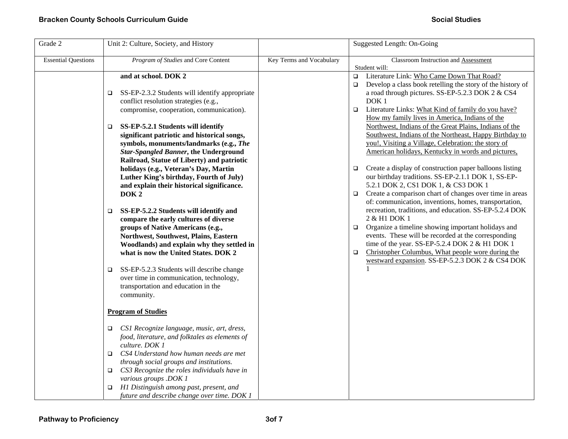| Grade 2                    | Unit 2: Culture, Society, and History                                                                                                                                                                                                                    |                          | Suggested Length: On-Going                                                                                                                                                                                                                                                                                                                                        |
|----------------------------|----------------------------------------------------------------------------------------------------------------------------------------------------------------------------------------------------------------------------------------------------------|--------------------------|-------------------------------------------------------------------------------------------------------------------------------------------------------------------------------------------------------------------------------------------------------------------------------------------------------------------------------------------------------------------|
| <b>Essential Questions</b> | Program of Studies and Core Content                                                                                                                                                                                                                      | Key Terms and Vocabulary | Classroom Instruction and Assessment<br>Student will:                                                                                                                                                                                                                                                                                                             |
|                            | and at school. DOK 2<br>SS-EP-2.3.2 Students will identify appropriate<br>$\Box$<br>conflict resolution strategies (e.g.,                                                                                                                                |                          | □ Literature Link: Who Came Down That Road?<br>Develop a class book retelling the story of the history of<br>$\Box$<br>a road through pictures. SS-EP-5.2.3 DOK 2 & CS4<br>DOK <sub>1</sub>                                                                                                                                                                       |
|                            | compromise, cooperation, communication).                                                                                                                                                                                                                 |                          | Literature Links: What Kind of family do you have?<br>$\Box$<br>How my family lives in America, Indians of the                                                                                                                                                                                                                                                    |
|                            | SS-EP-5.2.1 Students will identify<br>$\Box$<br>significant patriotic and historical songs,<br>symbols, monuments/landmarks (e.g., The<br><b>Star-Spangled Banner, the Underground</b><br>Railroad, Statue of Liberty) and patriotic                     |                          | Northwest, Indians of the Great Plains, Indians of the<br>Southwest, Indians of the Northeast, Happy Birthday to<br>you!, Visiting a Village, Celebration: the story of<br>American holidays, Kentucky in words and pictures,                                                                                                                                     |
|                            | holidays (e.g., Veteran's Day, Martin<br>Luther King's birthday, Fourth of July)<br>and explain their historical significance.<br>DOK <sub>2</sub>                                                                                                       |                          | Create a display of construction paper balloons listing<br>$\Box$<br>our birthday traditions. SS-EP-2.1.1 DOK 1, SS-EP-<br>5.2.1 DOK 2, CS1 DOK 1, & CS3 DOK 1<br>Create a comparison chart of changes over time in areas<br>$\Box$<br>of: communication, inventions, homes, transportation,                                                                      |
|                            | SS-EP-5.2.2 Students will identify and<br>□<br>compare the early cultures of diverse<br>groups of Native Americans (e.g.,<br>Northwest, Southwest, Plains, Eastern<br>Woodlands) and explain why they settled in<br>what is now the United States. DOK 2 |                          | recreation, traditions, and education. SS-EP-5.2.4 DOK<br>2 & H1 DOK 1<br>Organize a timeline showing important holidays and<br>$\Box$<br>events. These will be recorded at the corresponding<br>time of the year. SS-EP-5.2.4 DOK 2 & H1 DOK 1<br>Christopher Columbus, What people wore during the<br>$\Box$<br>westward expansion. SS-EP-5.2.3 DOK 2 & CS4 DOK |
|                            | SS-EP-5.2.3 Students will describe change<br>□<br>over time in communication, technology,<br>transportation and education in the<br>community.                                                                                                           |                          | $\mathbf{1}$                                                                                                                                                                                                                                                                                                                                                      |
|                            | <b>Program of Studies</b>                                                                                                                                                                                                                                |                          |                                                                                                                                                                                                                                                                                                                                                                   |
|                            | CS1 Recognize language, music, art, dress,<br>□<br>food, literature, and folktales as elements of<br>culture. DOK 1                                                                                                                                      |                          |                                                                                                                                                                                                                                                                                                                                                                   |
|                            | CS4 Understand how human needs are met<br>$\Box$<br>through social groups and institutions.<br>CS3 Recognize the roles individuals have in                                                                                                               |                          |                                                                                                                                                                                                                                                                                                                                                                   |
|                            | various groups .DOK 1<br>H1 Distinguish among past, present, and<br>□<br>future and describe change over time. DOK 1                                                                                                                                     |                          |                                                                                                                                                                                                                                                                                                                                                                   |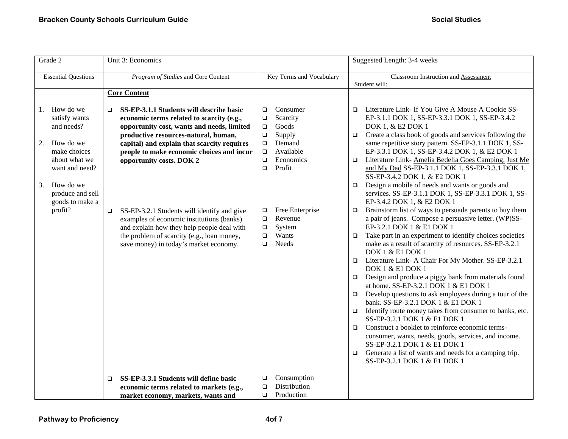| Grade 2                                                                                                                                                                                   | Unit 3: Economics                                                                                                                                                                                                                                                                                                                                                                                                                                                                                                                                         |                                                                                                                                                                                                                                                                                   | Suggested Length: 3-4 weeks                                                                                                                                                                                                                                                                                                                                                                                                                                                                                                                                                                                                                                                                                                                                                                                                                                                                                                                                                                                                                                                                                                                                                                                                                                                                                                                                                                                                                                                                                                                                                                                         |
|-------------------------------------------------------------------------------------------------------------------------------------------------------------------------------------------|-----------------------------------------------------------------------------------------------------------------------------------------------------------------------------------------------------------------------------------------------------------------------------------------------------------------------------------------------------------------------------------------------------------------------------------------------------------------------------------------------------------------------------------------------------------|-----------------------------------------------------------------------------------------------------------------------------------------------------------------------------------------------------------------------------------------------------------------------------------|---------------------------------------------------------------------------------------------------------------------------------------------------------------------------------------------------------------------------------------------------------------------------------------------------------------------------------------------------------------------------------------------------------------------------------------------------------------------------------------------------------------------------------------------------------------------------------------------------------------------------------------------------------------------------------------------------------------------------------------------------------------------------------------------------------------------------------------------------------------------------------------------------------------------------------------------------------------------------------------------------------------------------------------------------------------------------------------------------------------------------------------------------------------------------------------------------------------------------------------------------------------------------------------------------------------------------------------------------------------------------------------------------------------------------------------------------------------------------------------------------------------------------------------------------------------------------------------------------------------------|
| <b>Essential Questions</b>                                                                                                                                                                | Program of Studies and Core Content                                                                                                                                                                                                                                                                                                                                                                                                                                                                                                                       | Key Terms and Vocabulary                                                                                                                                                                                                                                                          | Classroom Instruction and Assessment<br>Student will:                                                                                                                                                                                                                                                                                                                                                                                                                                                                                                                                                                                                                                                                                                                                                                                                                                                                                                                                                                                                                                                                                                                                                                                                                                                                                                                                                                                                                                                                                                                                                               |
|                                                                                                                                                                                           | <b>Core Content</b>                                                                                                                                                                                                                                                                                                                                                                                                                                                                                                                                       |                                                                                                                                                                                                                                                                                   |                                                                                                                                                                                                                                                                                                                                                                                                                                                                                                                                                                                                                                                                                                                                                                                                                                                                                                                                                                                                                                                                                                                                                                                                                                                                                                                                                                                                                                                                                                                                                                                                                     |
| How do we<br>1.<br>satisfy wants<br>and needs?<br>How do we<br>2.<br>make choices<br>about what we<br>want and need?<br>How do we<br>3.<br>produce and sell<br>goods to make a<br>profit? | SS-EP-3.1.1 Students will describe basic<br>$\Box$<br>economic terms related to scarcity (e.g.,<br>opportunity cost, wants and needs, limited<br>productive resources-natural, human,<br>capital) and explain that scarcity requires<br>people to make economic choices and incur<br>opportunity costs. DOK 2<br>SS-EP-3.2.1 Students will identify and give<br>$\Box$<br>examples of economic institutions (banks)<br>and explain how they help people deal with<br>the problem of scarcity (e.g., loan money,<br>save money) in today's market economy. | Consumer<br>$\Box$<br>Scarcity<br>$\Box$<br>Goods<br>$\Box$<br>Supply<br>$\Box$<br>Demand<br>$\Box$<br>Available<br>$\Box$<br>Economics<br>$\Box$<br>Profit<br>$\Box$<br>Free Enterprise<br>$\Box$<br>Revenue<br>$\Box$<br>System<br>$\Box$<br>Wants<br>$\Box$<br>Needs<br>$\Box$ | Literature Link- If You Give A Mouse A Cookie SS-<br>$\Box$<br>EP-3.1.1 DOK 1, SS-EP-3.3.1 DOK 1, SS-EP-3.4.2<br>DOK 1, & E2 DOK 1<br>Create a class book of goods and services following the<br>$\Box$<br>same repetitive story pattern. SS-EP-3.1.1 DOK 1, SS-<br>EP-3.3.1 DOK 1, SS-EP-3.4.2 DOK 1, & E2 DOK 1<br>Literature Link-Amelia Bedelia Goes Camping, Just Me<br>$\Box$<br>and My Dad SS-EP-3.1.1 DOK 1, SS-EP-3.3.1 DOK 1,<br>SS-EP-3.4.2 DOK 1, & E2 DOK 1<br>Design a mobile of needs and wants or goods and<br>$\Box$<br>services. SS-EP-3.1.1 DOK 1, SS-EP-3.3.1 DOK 1, SS-<br>EP-3.4.2 DOK 1, & E2 DOK 1<br>Brainstorm list of ways to persuade parents to buy them<br>$\Box$<br>a pair of jeans. Compose a persuasive letter. (WP)SS-<br>EP-3.2.1 DOK 1 & E1 DOK 1<br>Take part in an experiment to identify choices societies<br>$\Box$<br>make as a result of scarcity of resources. SS-EP-3.2.1<br>DOK 1 & E1 DOK 1<br>Literature Link- A Chair For My Mother. SS-EP-3.2.1<br>$\Box$<br>DOK 1 & E1 DOK 1<br>Design and produce a piggy bank from materials found<br>$\Box$<br>at home. SS-EP-3.2.1 DOK 1 & E1 DOK 1<br>Develop questions to ask employees during a tour of the<br>$\Box$<br>bank. SS-EP-3.2.1 DOK 1 & E1 DOK 1<br>Identify route money takes from consumer to banks, etc.<br>$\Box$<br>SS-EP-3.2.1 DOK 1 & E1 DOK 1<br>Construct a booklet to reinforce economic terms-<br>$\Box$<br>consumer, wants, needs, goods, services, and income.<br>SS-EP-3.2.1 DOK 1 & E1 DOK 1<br>Generate a list of wants and needs for a camping trip.<br>$\Box$<br>SS-EP-3.2.1 DOK 1 & E1 DOK 1 |
|                                                                                                                                                                                           | SS-EP-3.3.1 Students will define basic<br>$\Box$<br>economic terms related to markets (e.g.,<br>market economy, markets, wants and                                                                                                                                                                                                                                                                                                                                                                                                                        | Consumption<br>□<br>Distribution<br>$\Box$<br>Production<br>$\Box$                                                                                                                                                                                                                |                                                                                                                                                                                                                                                                                                                                                                                                                                                                                                                                                                                                                                                                                                                                                                                                                                                                                                                                                                                                                                                                                                                                                                                                                                                                                                                                                                                                                                                                                                                                                                                                                     |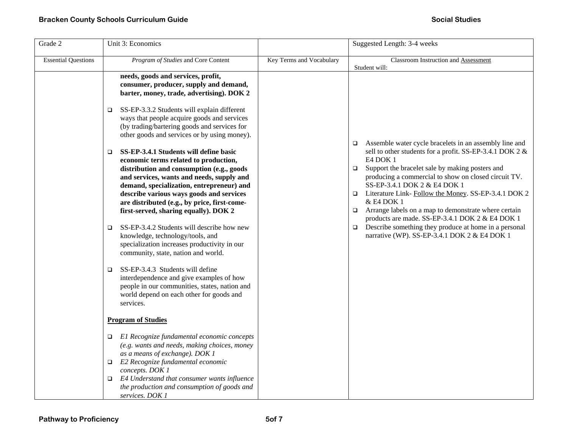| Grade 2                    | Unit 3: Economics                                                                                                                                                                                                                                                                                                                                                     |                          | Suggested Length: 3-4 weeks                                                                                                                                                                                                                                                                                                                                                                                                    |
|----------------------------|-----------------------------------------------------------------------------------------------------------------------------------------------------------------------------------------------------------------------------------------------------------------------------------------------------------------------------------------------------------------------|--------------------------|--------------------------------------------------------------------------------------------------------------------------------------------------------------------------------------------------------------------------------------------------------------------------------------------------------------------------------------------------------------------------------------------------------------------------------|
| <b>Essential Questions</b> | Program of Studies and Core Content                                                                                                                                                                                                                                                                                                                                   | Key Terms and Vocabulary | <b>Classroom Instruction and Assessment</b><br>Student will:                                                                                                                                                                                                                                                                                                                                                                   |
|                            | needs, goods and services, profit,<br>consumer, producer, supply and demand,<br>barter, money, trade, advertising). DOK 2                                                                                                                                                                                                                                             |                          |                                                                                                                                                                                                                                                                                                                                                                                                                                |
|                            | SS-EP-3.3.2 Students will explain different<br>$\Box$<br>ways that people acquire goods and services<br>(by trading/bartering goods and services for<br>other goods and services or by using money).                                                                                                                                                                  |                          | Assemble water cycle bracelets in an assembly line and<br>$\Box$                                                                                                                                                                                                                                                                                                                                                               |
|                            | SS-EP-3.4.1 Students will define basic<br>$\Box$<br>economic terms related to production,<br>distribution and consumption (e.g., goods<br>and services, wants and needs, supply and<br>demand, specialization, entrepreneur) and<br>describe various ways goods and services<br>are distributed (e.g., by price, first-come-<br>first-served, sharing equally). DOK 2 |                          | sell to other students for a profit. SS-EP-3.4.1 DOK 2 &<br>E4 DOK 1<br>Support the bracelet sale by making posters and<br>$\Box$<br>producing a commercial to show on closed circuit TV.<br>SS-EP-3.4.1 DOK 2 & E4 DOK 1<br>Literature Link- Follow the Money. SS-EP-3.4.1 DOK 2<br>$\Box$<br>& E4 DOK 1<br>Arrange labels on a map to demonstrate where certain<br>$\Box$<br>products are made. SS-EP-3.4.1 DOK 2 & E4 DOK 1 |
|                            | SS-EP-3.4.2 Students will describe how new<br>$\Box$<br>knowledge, technology/tools, and<br>specialization increases productivity in our<br>community, state, nation and world.                                                                                                                                                                                       |                          | Describe something they produce at home in a personal<br>$\Box$<br>narrative (WP). SS-EP-3.4.1 DOK 2 & E4 DOK 1                                                                                                                                                                                                                                                                                                                |
|                            | SS-EP-3.4.3 Students will define<br>$\Box$<br>interdependence and give examples of how<br>people in our communities, states, nation and<br>world depend on each other for goods and<br>services.                                                                                                                                                                      |                          |                                                                                                                                                                                                                                                                                                                                                                                                                                |
|                            | <b>Program of Studies</b>                                                                                                                                                                                                                                                                                                                                             |                          |                                                                                                                                                                                                                                                                                                                                                                                                                                |
|                            | El Recognize fundamental economic concepts<br>$\Box$<br>(e.g. wants and needs, making choices, money<br>as a means of exchange). DOK 1<br>$\Box$ E2 Recognize fundamental economic<br>concepts. DOK 1                                                                                                                                                                 |                          |                                                                                                                                                                                                                                                                                                                                                                                                                                |
|                            | E4 Understand that consumer wants influence<br>$\Box$<br>the production and consumption of goods and<br>services. DOK 1                                                                                                                                                                                                                                               |                          |                                                                                                                                                                                                                                                                                                                                                                                                                                |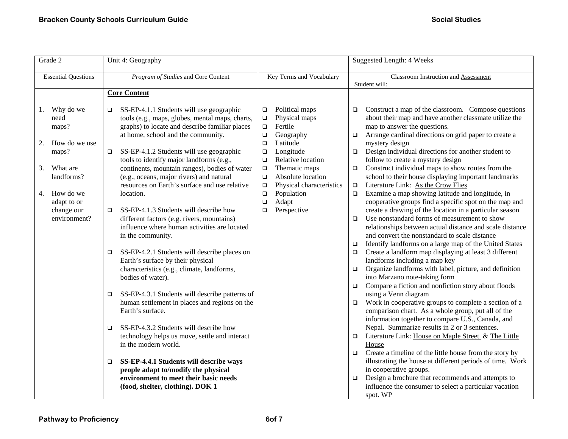| Grade 2                                                                                                                                                    | Unit 4: Geography                                                                                                                                                                                                                                                                                                                                                                                                                                                                                                                                                                                                                                                                                                                                                                                                                                                                                                                                                                                                                                                                                                                                                                                                      |                                                                                                                                                                                                                                                                                                                                                 | <b>Suggested Length: 4 Weeks</b>                                                                                                                                                                                                                                                                                                                                                                                                                                                                                                                                                                                                                                                                                                                                                                                                                                                                                                                                                                                                                                                                                                                                                                                                                                                                                                                                                                                                                                                                                                                                                                                                                                                                                                                                                                                                                                    |
|------------------------------------------------------------------------------------------------------------------------------------------------------------|------------------------------------------------------------------------------------------------------------------------------------------------------------------------------------------------------------------------------------------------------------------------------------------------------------------------------------------------------------------------------------------------------------------------------------------------------------------------------------------------------------------------------------------------------------------------------------------------------------------------------------------------------------------------------------------------------------------------------------------------------------------------------------------------------------------------------------------------------------------------------------------------------------------------------------------------------------------------------------------------------------------------------------------------------------------------------------------------------------------------------------------------------------------------------------------------------------------------|-------------------------------------------------------------------------------------------------------------------------------------------------------------------------------------------------------------------------------------------------------------------------------------------------------------------------------------------------|---------------------------------------------------------------------------------------------------------------------------------------------------------------------------------------------------------------------------------------------------------------------------------------------------------------------------------------------------------------------------------------------------------------------------------------------------------------------------------------------------------------------------------------------------------------------------------------------------------------------------------------------------------------------------------------------------------------------------------------------------------------------------------------------------------------------------------------------------------------------------------------------------------------------------------------------------------------------------------------------------------------------------------------------------------------------------------------------------------------------------------------------------------------------------------------------------------------------------------------------------------------------------------------------------------------------------------------------------------------------------------------------------------------------------------------------------------------------------------------------------------------------------------------------------------------------------------------------------------------------------------------------------------------------------------------------------------------------------------------------------------------------------------------------------------------------------------------------------------------------|
| <b>Essential Questions</b>                                                                                                                                 | Program of Studies and Core Content                                                                                                                                                                                                                                                                                                                                                                                                                                                                                                                                                                                                                                                                                                                                                                                                                                                                                                                                                                                                                                                                                                                                                                                    | Key Terms and Vocabulary                                                                                                                                                                                                                                                                                                                        | Classroom Instruction and Assessment<br>Student will:                                                                                                                                                                                                                                                                                                                                                                                                                                                                                                                                                                                                                                                                                                                                                                                                                                                                                                                                                                                                                                                                                                                                                                                                                                                                                                                                                                                                                                                                                                                                                                                                                                                                                                                                                                                                               |
|                                                                                                                                                            | <b>Core Content</b>                                                                                                                                                                                                                                                                                                                                                                                                                                                                                                                                                                                                                                                                                                                                                                                                                                                                                                                                                                                                                                                                                                                                                                                                    |                                                                                                                                                                                                                                                                                                                                                 |                                                                                                                                                                                                                                                                                                                                                                                                                                                                                                                                                                                                                                                                                                                                                                                                                                                                                                                                                                                                                                                                                                                                                                                                                                                                                                                                                                                                                                                                                                                                                                                                                                                                                                                                                                                                                                                                     |
| 1. Why do we<br>need<br>maps?<br>How do we use<br>2.<br>maps?<br>What are<br>3.<br>landforms?<br>4. How do we<br>adapt to or<br>change our<br>environment? | SS-EP-4.1.1 Students will use geographic<br>□<br>tools (e.g., maps, globes, mental maps, charts,<br>graphs) to locate and describe familiar places<br>at home, school and the community.<br>SS-EP-4.1.2 Students will use geographic<br>□<br>tools to identify major landforms (e.g.,<br>continents, mountain ranges), bodies of water<br>(e.g., oceans, major rivers) and natural<br>resources on Earth's surface and use relative<br>location.<br>SS-EP-4.1.3 Students will describe how<br>□<br>different factors (e.g. rivers, mountains)<br>influence where human activities are located<br>in the community.<br>SS-EP-4.2.1 Students will describe places on<br>□<br>Earth's surface by their physical<br>characteristics (e.g., climate, landforms,<br>bodies of water).<br>SS-EP-4.3.1 Students will describe patterns of<br>$\Box$<br>human settlement in places and regions on the<br>Earth's surface.<br>SS-EP-4.3.2 Students will describe how<br>$\Box$<br>technology helps us move, settle and interact<br>in the modern world.<br>SS-EP-4.4.1 Students will describe ways<br>$\Box$<br>people adapt to/modify the physical<br>environment to meet their basic needs<br>(food, shelter, clothing). DOK 1 | Political maps<br>$\Box$<br>Physical maps<br>$\Box$<br>Fertile<br>$\Box$<br>$\Box$<br>Geography<br>Latitude<br>$\Box$<br>Longitude<br>$\Box$<br>Relative location<br>$\Box$<br>Thematic maps<br>$\Box$<br>Absolute location<br>$\Box$<br>Physical characteristics<br>$\Box$<br>Population<br>$\Box$<br>Adapt<br>$\Box$<br>Perspective<br>$\Box$ | Construct a map of the classroom. Compose questions<br>$\Box$<br>about their map and have another classmate utilize the<br>map to answer the questions.<br>Arrange cardinal directions on grid paper to create a<br>$\Box$<br>mystery design<br>Design individual directions for another student to<br>$\Box$<br>follow to create a mystery design<br>Construct individual maps to show routes from the<br>$\Box$<br>school to their house displaying important landmarks<br>Literature Link: As the Crow Flies<br>$\Box$<br>Examine a map showing latitude and longitude, in<br>$\Box$<br>cooperative groups find a specific spot on the map and<br>create a drawing of the location in a particular season<br>Use nonstandard forms of measurement to show<br>$\Box$<br>relationships between actual distance and scale distance<br>and convert the nonstandard to scale distance<br>Identify landforms on a large map of the United States<br>$\Box$<br>Create a landform map displaying at least 3 different<br>$\Box$<br>landforms including a map key<br>Organize landforms with label, picture, and definition<br>$\Box$<br>into Marzano note-taking form<br>Compare a fiction and nonfiction story about floods<br>$\Box$<br>using a Venn diagram<br>Work in cooperative groups to complete a section of a<br>$\Box$<br>comparison chart. As a whole group, put all of the<br>information together to compare U.S., Canada, and<br>Nepal. Summarize results in 2 or 3 sentences.<br>Literature Link: House on Maple Street & The Little<br>$\Box$<br>House<br>Create a timeline of the little house from the story by<br>$\Box$<br>illustrating the house at different periods of time. Work<br>in cooperative groups.<br>Design a brochure that recommends and attempts to<br>$\Box$<br>influence the consumer to select a particular vacation<br>spot. WP |